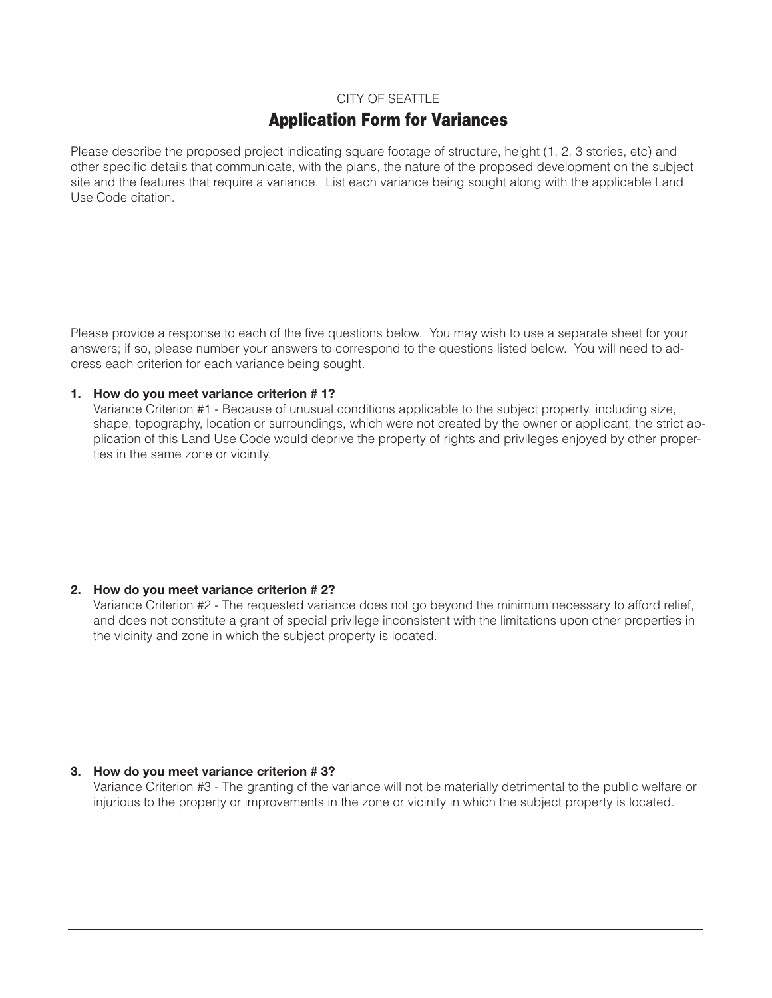## CITY OF SEATTLE

# **Application Form for Variances**

Please describe the proposed project indicating square footage of structure, height (1, 2, 3 stories, etc) and other specific details that communicate, with the plans, the nature of the proposed development on the subject site and the features that require a variance. List each variance being sought along with the applicable Land Use Code citation.

Please provide a response to each of the five questions below. You may wish to use a separate sheet for your answers; if so, please number your answers to correspond to the questions listed below. You will need to address each criterion for each variance being sought.

#### **1. How do you meet variance criterion # 1?**

 Variance Criterion #1 - Because of unusual conditions applicable to the subject property, including size, shape, topography, location or surroundings, which were not created by the owner or applicant, the strict application of this Land Use Code would deprive the property of rights and privileges enjoyed by other properties in the same zone or vicinity.

### **2. How do you meet variance criterion # 2?**

 Variance Criterion #2 - The requested variance does not go beyond the minimum necessary to afford relief, and does not constitute a grant of special privilege inconsistent with the limitations upon other properties in the vicinity and zone in which the subject property is located.

### **3. How do you meet variance criterion # 3?**

 Variance Criterion #3 - The granting of the variance will not be materially detrimental to the public welfare or injurious to the property or improvements in the zone or vicinity in which the subject property is located.